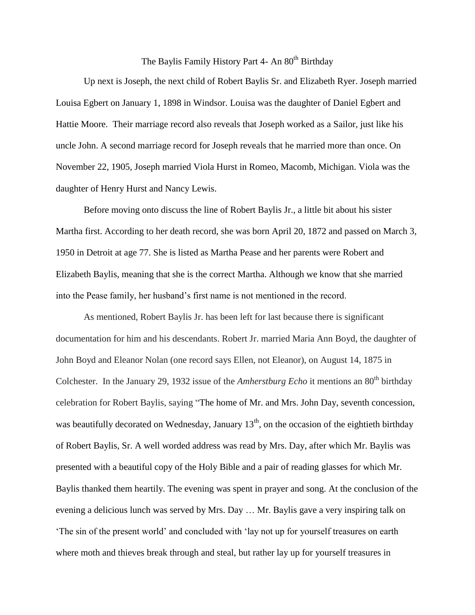## The Baylis Family History Part 4- An 80<sup>th</sup> Birthday

Up next is Joseph, the next child of Robert Baylis Sr. and Elizabeth Ryer. Joseph married Louisa Egbert on January 1, 1898 in Windsor. Louisa was the daughter of Daniel Egbert and Hattie Moore. Their marriage record also reveals that Joseph worked as a Sailor, just like his uncle John. A second marriage record for Joseph reveals that he married more than once. On November 22, 1905, Joseph married Viola Hurst in Romeo, Macomb, Michigan. Viola was the daughter of Henry Hurst and Nancy Lewis.

Before moving onto discuss the line of Robert Baylis Jr., a little bit about his sister Martha first. According to her death record, she was born April 20, 1872 and passed on March 3, 1950 in Detroit at age 77. She is listed as Martha Pease and her parents were Robert and Elizabeth Baylis, meaning that she is the correct Martha. Although we know that she married into the Pease family, her husband's first name is not mentioned in the record.

As mentioned, Robert Baylis Jr. has been left for last because there is significant documentation for him and his descendants. Robert Jr. married Maria Ann Boyd, the daughter of John Boyd and Eleanor Nolan (one record says Ellen, not Eleanor), on August 14, 1875 in Colchester. In the January 29, 1932 issue of the *Amherstburg Echo* it mentions an 80<sup>th</sup> birthday celebration for Robert Baylis, saying "The home of Mr. and Mrs. John Day, seventh concession, was beautifully decorated on Wednesday, January  $13<sup>th</sup>$ , on the occasion of the eightieth birthday of Robert Baylis, Sr. A well worded address was read by Mrs. Day, after which Mr. Baylis was presented with a beautiful copy of the Holy Bible and a pair of reading glasses for which Mr. Baylis thanked them heartily. The evening was spent in prayer and song. At the conclusion of the evening a delicious lunch was served by Mrs. Day … Mr. Baylis gave a very inspiring talk on 'The sin of the present world' and concluded with 'lay not up for yourself treasures on earth where moth and thieves break through and steal, but rather lay up for yourself treasures in